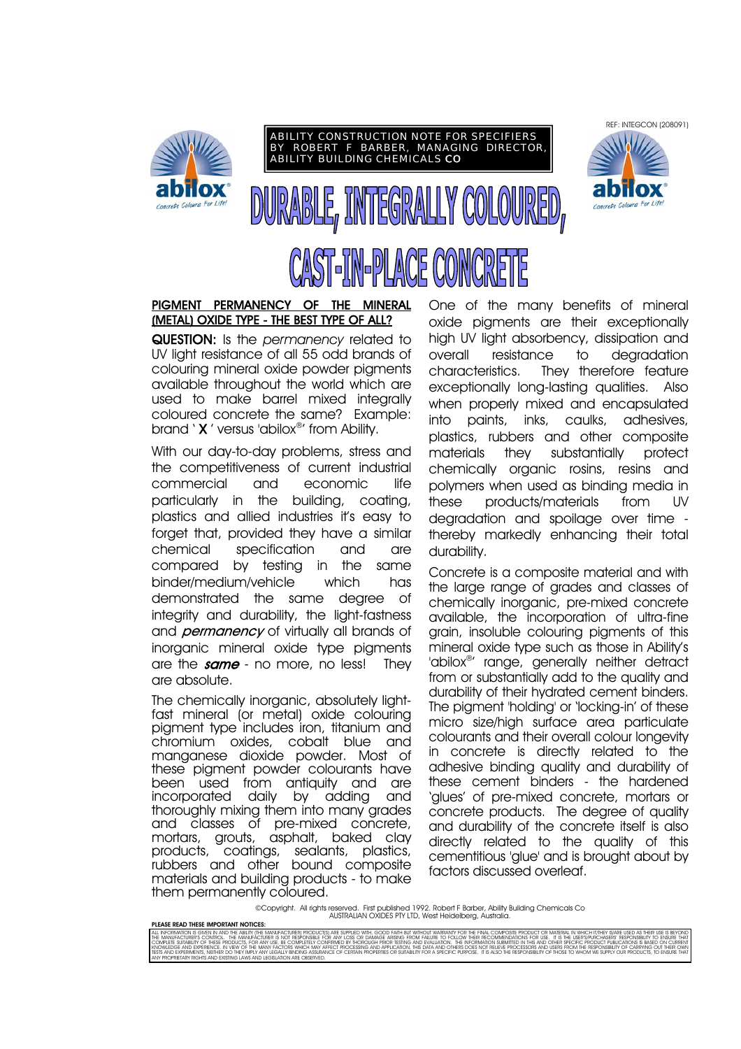





# PIGMENT PERMANENCY OF THE MINERAL (METAL) OXIDE TYPE - THE BEST TYPE OF ALL?

QUESTION: Is the *permanency* related to UV light resistance of all 55 odd brands of colouring mineral oxide powder pigments available throughout the world which are used to make barrel mixed integrally coloured concrete the same? Example: brand ' X ' versus 'abilox®' from Ability.

With our day-to-day problems, stress and the competitiveness of current industrial commercial and economic life particularly in the building, coating, plastics and allied industries it's easy to forget that, provided they have a similar chemical specification and are compared by testing in the same binder/medium/vehicle which has demonstrated the same degree of integrity and durability, the light-fastness and *permanency* of virtually all brands of inorganic mineral oxide type pigments are the  $same$  - no more, no less! They are absolute.

The chemically inorganic, absolutely lightfast mineral (or metal) oxide colouring pigment type includes iron, titanium and chromium oxides, cobalt blue and manganese dioxide powder. Most of these pigment powder colourants have been used from antiquity and are<br>incorporated daily by adding and daily by adding and thoroughly mixing them into many grades and classes of pre-mixed concrete, mortars, grouts, asphalt, baked clay products, coatings, sealants, plastics, rubbers and other bound composite materials and building products - to make them permanently coloured.

One of the many benefits of mineral oxide pigments are their exceptionally high UV light absorbency, dissipation and overall resistance to degradation characteristics. They therefore feature exceptionally long-lasting qualities. Also when properly mixed and encapsulated into paints, inks, caulks, adhesives, plastics, rubbers and other composite materials they substantially protect chemically organic rosins, resins and polymers when used as binding media in these products/materials from UV degradation and spoilage over time thereby markedly enhancing their total durability.

Concrete is a composite material and with the large range of grades and classes of chemically inorganic, pre-mixed concrete available, the incorporation of ultra-fine grain, insoluble colouring pigments of this mineral oxide type such as those in Ability's 'abilox®' range, generally neither detract from or substantially add to the quality and durability of their hydrated cement binders. The pigment 'holding' or 'locking-in' of these micro size/high surface area particulate colourants and their overall colour longevity in concrete is directly related to the adhesive binding quality and durability of these cement binders - the hardened 'glues' of pre-mixed concrete, mortars or concrete products. The degree of quality and durability of the concrete itself is also directly related to the quality of this cementitious 'glue' and is brought about by factors discussed overleaf.

©Copyright. All rights reserved. First published 1992. Robert F Barber, Ability Building Chemicals Co AUSTRALIAN OXIDES PTY LTD, West Heidelberg, Australia.

PLEASE READ THESE IMPORTANT NOTICES ALL MFORMATOLIS GYVEN AND THE ABLIV (THE MANUFACTURER) ARE SUPPLIC WITHOUT AND MONOR WORKEN FOR THE FROOM MONORE PRODUCT ON METHAL COMPONERS (NATION THE RECOMMENDATIONS FOR USE. IT IS THE USERSPURCHASES' RESPONSIBILITY OF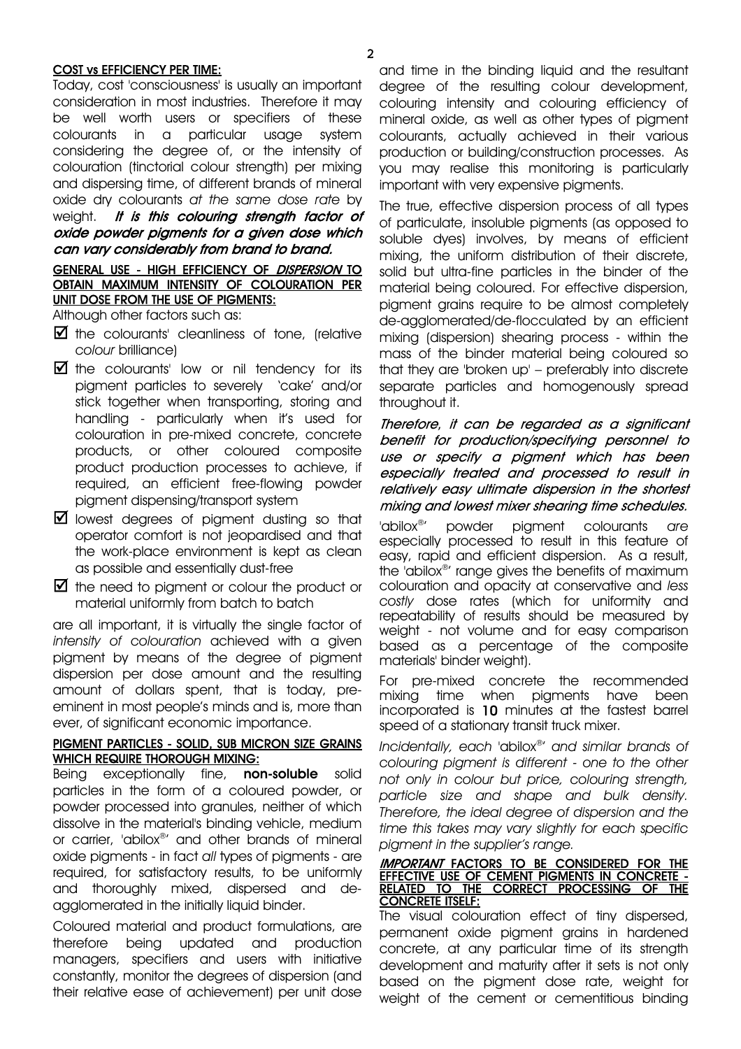#### COST vs EFFICIENCY PER TIME:

Today, cost 'consciousness' is usually an important consideration in most industries. Therefore it may be well worth users or specifiers of these colourants in a particular usage system considering the degree of, or the intensity of colouration (tinctorial colour strength) per mixing and dispersing time, of different brands of mineral oxide dry colourants *at the same dose rate* by weight. It is this colouring strength factor of oxide powder pigments for a given dose which can vary considerably from brand to brand.

# GENERAL USE - HIGH EFFICIENCY OF DISPERSION TO OBTAIN MAXIMUM INTENSITY OF COLOURATION PER UNIT DOSE FROM THE USE OF PIGMENTS:

Although other factors such as:

- $\blacksquare$  the colourants' cleanliness of tone, (relative *colour* brilliance)
- $\blacksquare$  the colourants' low or nil tendency for its pigment particles to severely 'cake' and/or stick together when transporting, storing and handling - particularly when it's used for colouration in pre-mixed concrete, concrete products, or other coloured composite product production processes to achieve, if required, an efficient free-flowing powder pigment dispensing/transport system
- $\blacksquare$  lowest degrees of pigment dusting so that operator comfort is not jeopardised and that the work-place environment is kept as clean as possible and essentially dust-free
- $\blacksquare$  the need to pigment or colour the product or material uniformly from batch to batch

are all important, it is virtually the single factor of *intensity of colouration* achieved with a given pigment by means of the degree of pigment dispersion per dose amount and the resulting amount of dollars spent, that is today, preeminent in most people's minds and is, more than ever, of significant economic importance.

#### PIGMENT PARTICLES - SOLID, SUB MICRON SIZE GRAINS WHICH REQUIRE THOROUGH MIXING:

Being exceptionally fine, non-soluble solid particles in the form of a coloured powder, or powder processed into granules, neither of which dissolve in the material's binding vehicle, medium or carrier, 'abilox®' and other brands of mineral oxide pigments - in fact *all* types of pigments - are required, for satisfactory results, to be uniformly and thoroughly mixed, dispersed and deagglomerated in the initially liquid binder.

Coloured material and product formulations, are therefore being updated and production managers, specifiers and users with initiative constantly, monitor the degrees of dispersion (and their relative ease of achievement) per unit dose and time in the binding liquid and the resultant degree of the resulting colour development, colouring intensity and colouring efficiency of mineral oxide, as well as other types of pigment colourants, actually achieved in their various production or building/construction processes. As you may realise this monitoring is particularly important with very expensive pigments.

The true, effective dispersion process of all types of particulate, insoluble pigments (as opposed to soluble dyes) involves, by means of efficient mixing, the uniform distribution of their discrete, solid but ultra-fine particles in the binder of the material being coloured. For effective dispersion, pigment grains require to be almost completely de-agglomerated/de-flocculated by an efficient mixing (dispersion) shearing process - within the mass of the binder material being coloured so that they are 'broken up' – preferably into discrete separate particles and homogenously spread throughout it.

Therefore, it can be regarded as a significant benefit for production/specifying personnel to use or specify a pigment which has been especially treated and processed to result in relatively easy ultimate dispersion in the shortest mixing and lowest mixer shearing time schedules.

'abilox®' powder pigment colourants *are* especially processed to result in this feature of easy, rapid and efficient dispersion. As a result, the 'abilox®' range gives the benefits of maximum colouration and opacity at conservative and *less costly* dose rates (which for uniformity and repeatability of results should be measured by weight - not volume and for easy comparison based as a percentage of the composite materials' binder weight).

For pre-mixed concrete the recommended mixing time when pigments have been incorporated is 10 minutes at the fastest barrel speed of a stationary transit truck mixer.

*Incidentally, each* 'abilox®' *and similar brands of colouring pigment is different - one to the other not only in colour but price, colouring strength, particle size and shape and bulk density. Therefore, the ideal degree of dispersion and the time this takes may vary slightly for each specific pigment in the supplier's range.* 

#### **IMPORTANT FACTORS TO BE CONSIDERED FOR THE** EFFECTIVE USE OF CEMENT PIGMENTS IN CONCRETE - RELATED TO THE CORRECT PROCESSING OF THE CONCRETE ITSELF:

The visual colouration effect of tiny dispersed, permanent oxide pigment grains in hardened concrete, at any particular time of its strength development and maturity after it sets is not only based on the pigment dose rate, weight for weight of the cement or cementitious binding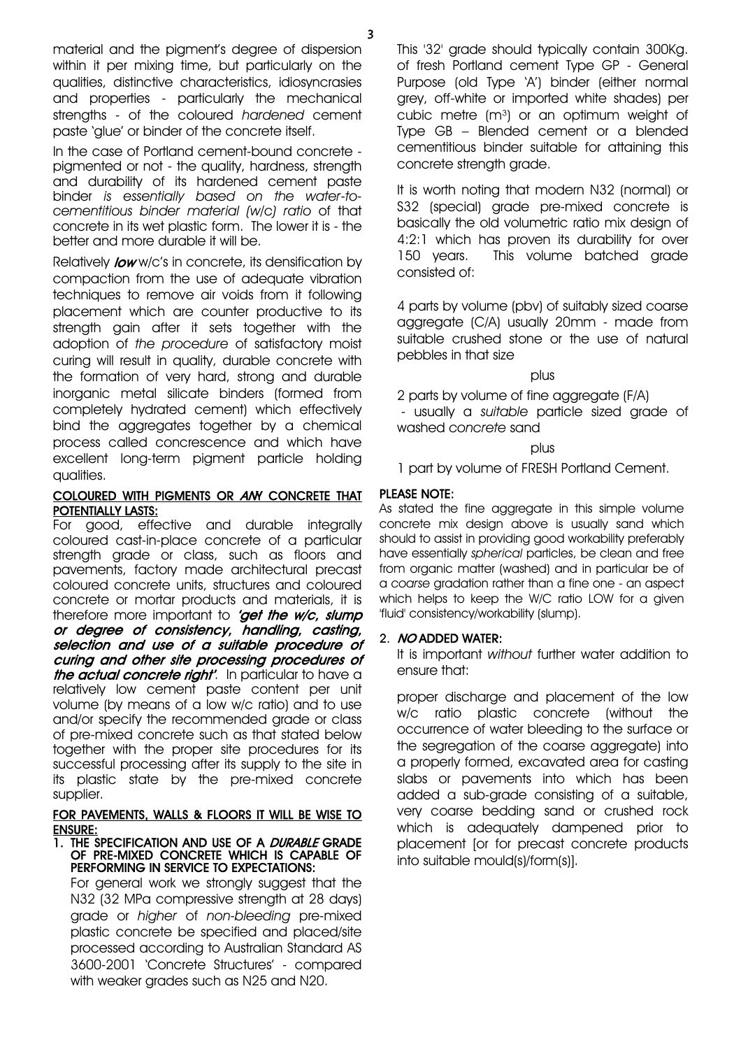material and the pigment's degree of dispersion within it per mixing time, but particularly on the qualities, distinctive characteristics, idiosyncrasies and properties - particularly the mechanical strengths - of the coloured *hardened* cement paste 'glue' or binder of the concrete itself.

In the case of Portland cement-bound concrete pigmented or not - the quality, hardness, strength and durability of its hardened cement paste binder *is essentially based on the water-tocementitious binder material (w/c) ratio* of that concrete in its wet plastic form. The lower it is - the better and more durable it will be.

Relatively **low** w/c's in concrete, its densification by compaction from the use of adequate vibration techniques to remove air voids from it following placement which are counter productive to its strength gain after it sets together with the adoption of *the procedure* of satisfactory moist curing will result in quality, durable concrete with the formation of very hard, strong and durable inorganic metal silicate binders (formed from completely hydrated cement) which effectively bind the aggregates together by a chemical process called concrescence and which have excellent long-term pigment particle holding qualities.

# COLOURED WITH PIGMENTS OR ANY CONCRETE THAT POTENTIALLY LASTS:

For good, effective and durable integrally coloured cast-in-place concrete of a particular strength grade or class, such as floors and pavements, factory made architectural precast coloured concrete units, structures and coloured concrete or mortar products and materials, it is therefore more important to 'get the w/c, slump or degree of consistency, handling, casting, selection and use of a suitable procedure of curing and other site processing procedures of the actual concrete right'. In particular to have a relatively low cement paste content per unit volume (by means of a low w/c ratio) and to use and/or specify the recommended grade or class of pre-mixed concrete such as that stated below together with the proper site procedures for its successful processing after its supply to the site in its plastic state by the pre-mixed concrete supplier.

### FOR PAVEMENTS, WALLS & FLOORS IT WILL BE WISE TO ENSURE:

#### 1. THE SPECIFICATION AND USE OF A DURABLE GRADE OF PRE-MIXED CONCRETE WHICH IS CAPABLE OF PERFORMING IN SERVICE TO EXPECTATIONS:

For general work we strongly suggest that the N32 (32 MPa compressive strength at 28 days) grade or *higher* of *non-bleeding* pre-mixed plastic concrete be specified and placed/site processed according to Australian Standard AS 3600-2001 'Concrete Structures' - compared with weaker grades such as N25 and N20.

This '32' grade should typically contain 300Kg. of fresh Portland cement Type GP - General Purpose (old Type 'A') binder (either normal grey, off-white or imported white shades) per cubic metre  $(m<sup>3</sup>)$  or an optimum weight of Type GB – Blended cement or a blended cementitious binder suitable for attaining this concrete strength grade.

It is worth noting that modern N32 (normal) or S32 (special) grade pre-mixed concrete is basically the old volumetric ratio mix design of 4:2:1 which has proven its durability for over 150 years. This volume batched grade consisted of:

4 parts by volume (pbv) of suitably sized coarse aggregate (C/A) usually 20mm - made from suitable crushed stone or the use of natural pebbles in that size

plus

2 parts by volume of fine aggregate (F/A) - usually a *suitable* particle sized grade of washed *concrete* sand

# plus

1 part by volume of FRESH Portland Cement.

# PLEASE NOTE:

As stated the fine aggregate in this simple volume concrete mix design above is usually sand which should to assist in providing good workability preferably have essentially *spherical* particles, be clean and free from organic matter (washed) and in particular be of a *coarse* gradation rather than a fine one - an aspect which helps to keep the W/C ratio LOW for a given 'fluid' consistency/workability (slump).

# 2. NO ADDED WATER:

It is important *without* further water addition to ensure that:

proper discharge and placement of the low w/c ratio plastic concrete (without the occurrence of water bleeding to the surface or the segregation of the coarse aggregate) into a properly formed, excavated area for casting slabs or pavements into which has been added a sub-grade consisting of a suitable, very coarse bedding sand or crushed rock which is adequately dampened prior to placement [or for precast concrete products into suitable mould(s)/form(s)].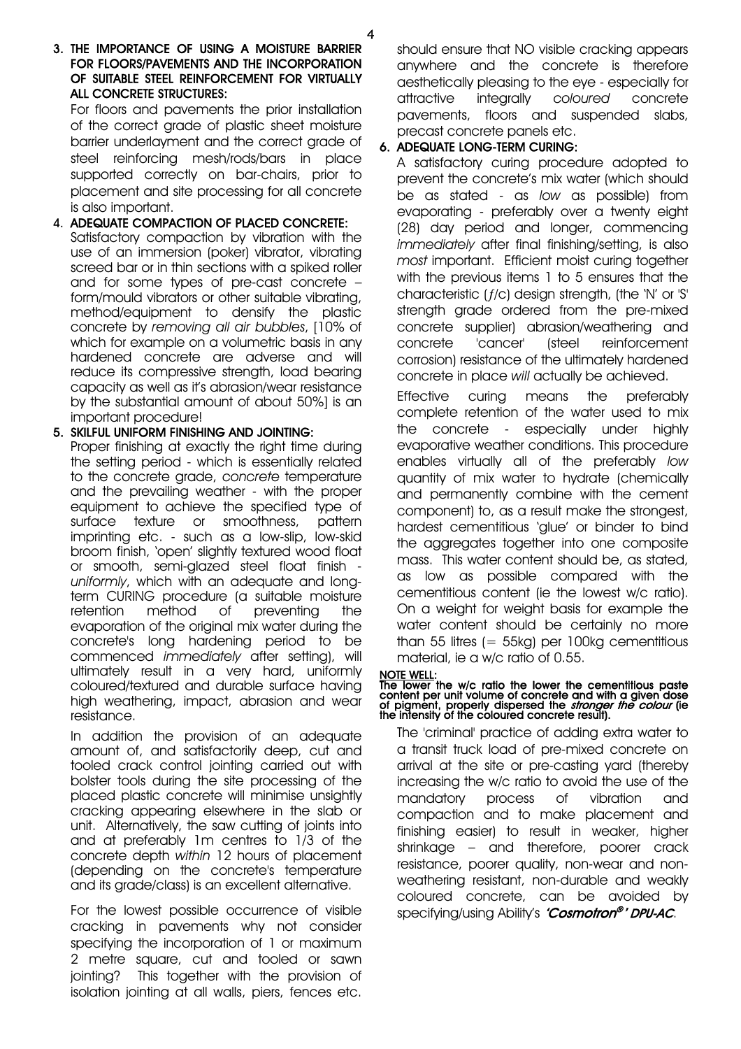4

# 3. THE IMPORTANCE OF USING A MOISTURE BARRIER FOR FLOORS/PAVEMENTS AND THE INCORPORATION OF SUITABLE STEEL REINFORCEMENT FOR VIRTUALLY ALL CONCRETE STRUCTURES:

For floors and pavements the prior installation of the correct grade of plastic sheet moisture barrier underlayment and the correct grade of steel reinforcing mesh/rods/bars in place supported correctly on bar-chairs, prior to placement and site processing for all concrete is also important.

#### 4. ADEQUATE COMPACTION OF PLACED CONCRETE: Satisfactory compaction by vibration with the use of an immersion (poker) vibrator, vibrating screed bar or in thin sections with a spiked roller and for some types of pre-cast concrete – form/mould vibrators or other suitable vibrating, method/equipment to densify the plastic concrete by *removing all air bubbles*, [10% of which for example on a volumetric basis in any hardened concrete are adverse and will reduce its compressive strength, load bearing capacity as well as it's abrasion/wear resistance by the substantial amount of about 50%] is an important procedure!

# 5. SKILFUL UNIFORM FINISHING AND JOINTING:

Proper finishing at exactly the right time during the setting period - which is essentially related to the concrete grade, *concrete* temperature and the prevailing weather - with the proper equipment to achieve the specified type of surface texture or smoothness, pattern imprinting etc. - such as a low-slip, low-skid broom finish, 'open' slightly textured wood float or smooth, semi-glazed steel float finish *uniformly*, which with an adequate and longterm CURING procedure (a suitable moisture retention method of preventing the evaporation of the original mix water during the concrete's long hardening period to be commenced *immediately* after setting), will ultimately result in a very hard, uniformly coloured/textured and durable surface having high weathering, impact, abrasion and wear resistance.

In addition the provision of an adequate amount of, and satisfactorily deep, cut and tooled crack control jointing carried out with bolster tools during the site processing of the placed plastic concrete will minimise unsightly cracking appearing elsewhere in the slab or unit. Alternatively, the saw cutting of joints into and at preferably 1m centres to 1/3 of the concrete depth *within* 12 hours of placement (depending on the concrete's temperature and its grade/class) is an excellent alternative.

For the lowest possible occurrence of visible cracking in pavements why not consider specifying the incorporation of 1 or maximum 2 metre square, cut and tooled or sawn jointing? This together with the provision of isolation jointing at all walls, piers, fences etc.

should ensure that NO visible cracking appears anywhere and the concrete is therefore aesthetically pleasing to the eye - especially for attractive integrally *coloured* concrete pavements, floors and suspended slabs, precast concrete panels etc.

# 6. ADEQUATE LONG-TERM CURING:

A satisfactory curing procedure adopted to prevent the concrete's mix water (which should be as stated - as *low* as possible) from evaporating - preferably over a twenty eight (28) day period and longer, commencing *immediately* after final finishing/setting, is also *most* important. Efficient moist curing together with the previous items 1 to 5 ensures that the characteristic (ƒ/c) design strength, (the 'N' or 'S' strength grade ordered from the pre-mixed concrete supplier) abrasion/weathering and concrete 'cancer' (steel reinforcement corrosion) resistance of the ultimately hardened concrete in place *will* actually be achieved.

Effective curing means the preferably complete retention of the water used to mix the concrete - especially under highly evaporative weather conditions. This procedure enables virtually all of the preferably *low* quantity of mix water to hydrate (chemically and permanently combine with the cement component) to, as a result make the strongest, hardest cementitious 'glue' or binder to bind the aggregates together into one composite mass. This water content should be, as stated, as low as possible compared with the cementitious content (ie the lowest w/c ratio). On a weight for weight basis for example the water content should be certainly no more than 55 litres  $(= 55kg)$  per 100kg cementitious material, ie a w/c ratio of 0.55.

# NOTE WELL:

# The lower the w/c ratio the lower the cementitious paste content per unit volume of concrete and with a given dose of pigment, properly dispersed the *stronger the colour* (ie the intensity of the coloured concrete result)

 The 'criminal' practice of adding extra water to a transit truck load of pre-mixed concrete on arrival at the site or pre-casting yard (thereby increasing the w/c ratio to avoid the use of the mandatory process of vibration and compaction and to make placement and finishing easier) to result in weaker, higher shrinkage – and therefore, poorer crack resistance, poorer quality, non-wear and nonweathering resistant, non-durable and weakly coloured concrete, can be avoided by specifying/using Ability's "Cosmotron®' DPU-AC.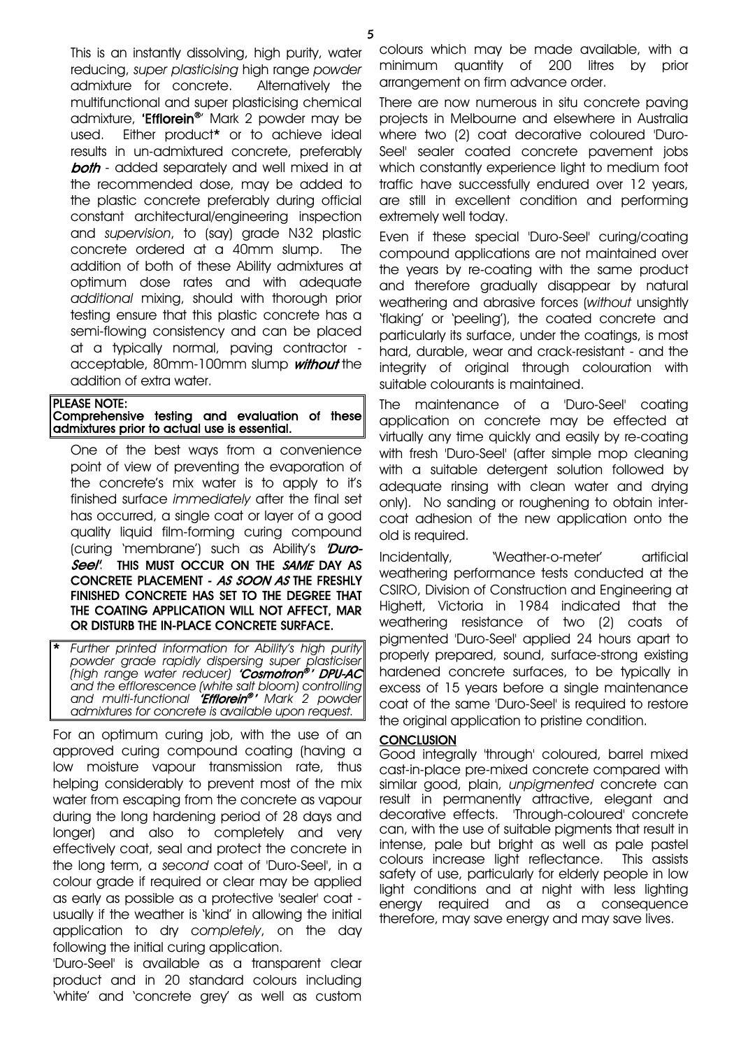This is an instantly dissolving, high purity, water reducing, *super plasticising* high range *powder* admixture for concrete. Alternatively the multifunctional and super plasticising chemical admixture, "**Efflorein®**" Mark 2 powder may be used. Either product\* or to achieve ideal results in un-admixtured concrete, preferably **both** - added separately and well mixed in at the recommended dose, may be added to the plastic concrete preferably during official constant architectural/engineering inspection and *supervision*, to (say) grade N32 plastic concrete ordered at a 40mm slump. The addition of both of these Ability admixtures at optimum dose rates and with adequate *additional* mixing, should with thorough prior testing ensure that this plastic concrete has a semi-flowing consistency and can be placed at a typically normal, paving contractor acceptable, 80mm-100mm slump without the addition of extra water.

| <b>PLEASE NOTE:</b>                           |  |  |  |
|-----------------------------------------------|--|--|--|
| Comprehensive testing and evaluation of these |  |  |  |
| admixtures prior to actual use is essential.  |  |  |  |

One of the best ways from a convenience point of view of preventing the evaporation of the concrete's mix water is to apply to it's finished surface *immediately* after the final set has occurred, a single coat or layer of a good quality liquid film-forming curing compound (curing 'membrane') such as Ability's  $Duro-$ Seel'. THIS MUST OCCUR ON THE SAME DAY AS CONCRETE PLACEMENT - AS SOON AS THE FRESHLY FINISHED CONCRETE HAS SET TO THE DEGREE THAT THE COATING APPLICATION WILL NOT AFFECT, MAR OR DISTURB THE IN-PLACE CONCRETE SURFACE.

\* *Further printed information for Ability's high purity powder grade rapidly dispersing super plasticiser (high range water reducer)* 'Cosmotron® ' DPU-AC *and the efflorescence (white salt bloom) controlling and multi-functional* 'Efflorein® ' *Mark 2 powder admixtures for concrete is available upon request.*

For an optimum curing job, with the use of an approved curing compound coating (having a low moisture vapour transmission rate, thus helping considerably to prevent most of the mix water from escaping from the concrete as vapour during the long hardening period of 28 days and longer) and also to completely and very effectively coat, seal and protect the concrete in the long term, a *second* coat of 'Duro-Seel', in a colour grade if required or clear may be applied as early as possible as a protective 'sealer' coat usually if the weather is 'kind' in allowing the initial application to dry *completely*, on the day following the initial curing application.

'Duro-Seel' is available as a transparent clear product and in 20 standard colours including 'white' and 'concrete grey' as well as custom

colours which may be made available, with a minimum quantity of 200 litres by prior arrangement on firm advance order.

There are now numerous in situ concrete paving projects in Melbourne and elsewhere in Australia where two (2) coat decorative coloured 'Duro-Seel' sealer coated concrete pavement jobs which constantly experience light to medium foot traffic have successfully endured over 12 years, are still in excellent condition and performing extremely well today.

Even if these special 'Duro-Seel' curing/coating compound applications are not maintained over the years by re-coating with the same product and therefore gradually disappear by natural weathering and abrasive forces (*without* unsightly 'flaking' or 'peeling'), the coated concrete and particularly its surface, under the coatings, is most hard, durable, wear and crack-resistant - and the integrity of original through colouration with suitable colourants is maintained.

The maintenance of a 'Duro-Seel' coating application on concrete may be effected at virtually any time quickly and easily by re-coating with fresh 'Duro-Seel' (after simple mop cleaning with a suitable detergent solution followed by adequate rinsing with clean water and drying only). No sanding or roughening to obtain intercoat adhesion of the new application onto the old is required.

Incidentally, 'Weather-o-meter' artificial weathering performance tests conducted at the CSIRO, Division of Construction and Engineering at Highett, Victoria in 1984 indicated that the weathering resistance of two (2) coats of pigmented 'Duro-Seel' applied 24 hours apart to properly prepared, sound, surface-strong existing hardened concrete surfaces, to be typically in excess of 15 years before a single maintenance coat of the same 'Duro-Seel' is required to restore the original application to pristine condition.

### **CONCLUSION**

Good integrally 'through' coloured, barrel mixed cast-in-place pre-mixed concrete compared with similar good, plain, *unpigmented* concrete can result in permanently attractive, elegant and decorative effects. 'Through-coloured' concrete can, with the use of suitable pigments that result in intense, pale but bright as well as pale pastel colours increase light reflectance. This assists safety of use, particularly for elderly people in low light conditions and at night with less lighting energy required and as a consequence therefore, may save energy and may save lives.